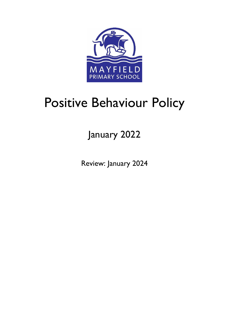

# Positive Behaviour Policy

January 2022

Review: January 2024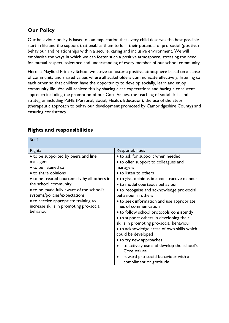## **Our Policy**

Our behaviour policy is based on an expectation that every child deserves the best possible start in life and the support that enables them to fulfil their potential of pro-social (positive) behaviour and relationships within a secure, caring and inclusive environment. We will emphasise the ways in which we can foster such a positive atmosphere, stressing the need for mutual respect, tolerance and understanding of every member of our school community.

Here at Mayfield Primary School we strive to foster a positive atmosphere based on a sense of community and shared values where all stakeholders communicate effectively, listening to each other so that children have the opportunity to develop socially, learn and enjoy community life. We will achieve this by sharing clear expectations and having a consistent approach including the promotion of our Core Values, the teaching of social skills and strategies including PSHE (Personal, Social, Health, Education), the use of the Steps (therapeutic approach to behaviour development promoted by Cambridgeshire County) and ensuring consistency.

| <b>Staff</b>                                 |                                                               |
|----------------------------------------------|---------------------------------------------------------------|
| <b>Rights</b>                                | Responsibilities                                              |
| • to be supported by peers and line          | • to ask for support when needed                              |
| managers                                     | • to offer support to colleagues and                          |
| • to be listened to                          | managers                                                      |
| • to share opinions                          | • to listen to others                                         |
| • to be treated courteously by all others in | • to give opinions in a constructive manner                   |
| the school community                         | • to model courteous behaviour                                |
| • to be made fully aware of the school's     | • to recognise and acknowledge pro-social                     |
| systems/policies/expectations                | behaviour in others                                           |
| • to receive appropriate training to         | • to seek information and use appropriate                     |
| increase skills in promoting pro-social      | lines of communication                                        |
| behaviour                                    | • to follow school protocols consistently                     |
|                                              | • to support others in developing their                       |
|                                              | skills in promoting pro-social behaviour                      |
|                                              | • to acknowledge areas of own skills which                    |
|                                              | could be developed                                            |
|                                              | • to try new approaches                                       |
|                                              | to actively use and develop the school's                      |
|                                              | <b>Core Values</b>                                            |
|                                              | reward pro-social behaviour with a<br>compliment or gratitude |

# **Rights and responsibilities**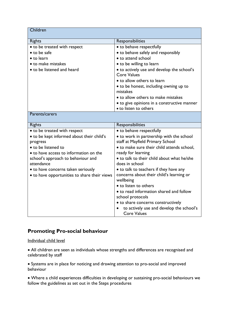| Children                                              |                                                                              |
|-------------------------------------------------------|------------------------------------------------------------------------------|
| <b>Rights</b>                                         | Responsibilities                                                             |
| · to be treated with respect                          | • to behave respectfully                                                     |
| • to be safe                                          | • to behave safely and responsibly                                           |
| • to learn                                            | • to attend school                                                           |
| • to make mistakes                                    | • to be willing to learn                                                     |
| • to be listened and heard                            | • to actively use and develop the school's<br><b>Core Values</b>             |
|                                                       | • to allow others to learn                                                   |
|                                                       | • to be honest, including owning up to<br>mistakes                           |
|                                                       | • to allow others to make mistakes                                           |
|                                                       | • to give opinions in a constructive manner                                  |
|                                                       | • to listen to others                                                        |
| Parents/carers                                        |                                                                              |
| <b>Rights</b>                                         | Responsibilities                                                             |
| • to be treated with respect                          | • to behave respectfully                                                     |
| • to be kept informed about their child's<br>progress | • to work in partnership with the school<br>staff at Mayfield Primary School |
| • to be listened to                                   | • to make sure their child attends school,                                   |
| • to have access to information on the                | ready for learning                                                           |
| school's approach to behaviour and<br>attendance      | • to talk to their child about what he/she<br>does in school                 |
| • to have concerns taken seriously                    | • to talk to teachers if they have any                                       |
| • to have opportunities to share their views          | concerns about their child's learning or<br>wellbeing                        |
|                                                       | • to listen to others                                                        |
|                                                       | • to read information shared and follow                                      |
|                                                       | school protocols                                                             |
|                                                       | • to share concerns constructively                                           |
|                                                       | to actively use and develop the school's<br><b>Core Values</b>               |

#### **Promoting Pro-social behaviour**

Individual child level

 All children are seen as individuals whose strengths and differences are recognised and celebrated by staff

 Systems are in place for noticing and drawing attention to pro-social and improved behaviour

 Where a child experiences difficulties in developing or sustaining pro-social behaviours we follow the guidelines as set out in the Steps procedures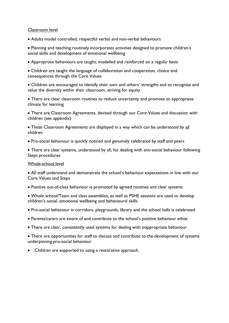#### Classroom level

Adults model controlled, respectful verbal and non-verbal behaviours

 Planning and teaching routinely incorporates activities designed to promote children's social skills and development of emotional wellbeing

Appropriate behaviours are taught, modelled and reinforced on a regular basis

 Children are taught the language of collaboration and cooperation, choice and consequences through the Core Values

 Children are encouraged to identify their own and others' strengths and to recognise and value the diversity within their classroom, striving for equity

 There are clear classroom routines to reduce uncertainty and promote an appropriate climate for learning

 There are Classroom Agreements, devised through our Core Values and discussion with children (see appendix)

 These Classroom Agreements are displayed in a way which can be understood by all children

Pro-social behaviour is quickly noticed and genuinely celebrated by staff and peers

 There are clear systems, understood by all, for dealing with anti-social behaviour following Steps procedures

#### Whole-school level

 All staff understand and demonstrate the school's behaviour expectations in line with our Core Values and Steps

Positive out-of-class behaviour is promoted by agreed routines and clear systems

 Whole school/Team and class assemblies, as well as PSHE sessions are used to develop children's social, emotional wellbeing and behavioural skills

- Pro-social behaviour in corridors, playgrounds, library and the school halls is celebrated
- Parents/carers are aware of and contribute to the school's positive behaviour ethos
- There are clear, consistently used systems for dealing with inappropriate behaviour

 There are opportunities for staff to discuss and contribute to the development of systems underpinning pro-social behaviour

• Children are supported to using a restorative approach.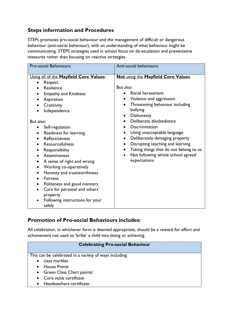## **Steps information and Procedures**

STEPs promotes pro-social behaviour and the management of difficult or dangerous behaviour (anti-social behaviour), with an understanding of what behaviour might be communicating. STEPS strategies used in school focus on de-escalation and preventative measures rather than focusing on reactive strategies.

| Pro-social Behaviours:                                                                                                                                                                                                                                                                                                                                                                                                                                                                                                                                                            | Anti-social behaviours:                                                                                                                                                                                                                                                                                                                                                                                                                                                                |
|-----------------------------------------------------------------------------------------------------------------------------------------------------------------------------------------------------------------------------------------------------------------------------------------------------------------------------------------------------------------------------------------------------------------------------------------------------------------------------------------------------------------------------------------------------------------------------------|----------------------------------------------------------------------------------------------------------------------------------------------------------------------------------------------------------------------------------------------------------------------------------------------------------------------------------------------------------------------------------------------------------------------------------------------------------------------------------------|
| Using all of the Mayfield Core Values:<br>Respect<br>Resilience<br><b>Empathy and Kindness</b><br>Aspiration<br>Creativity<br>Independence<br>But also:<br>Self-regulation<br>Readiness for learning<br>$\bullet$<br><b>Reflectiveness</b><br>Resourcefulness<br>Responsibility<br><b>Attentiveness</b><br>A sense of right and wrong<br>Working co-operatively<br>$\bullet$<br>Honesty and trustworthiness<br>$\bullet$<br><b>Fairness</b><br>Politeness and good manners<br>$\bullet$<br>Care for personal and others'<br>property<br>Following instructions for your<br>safely | Not using the Mayfield Core Values.<br>But also:<br>Racial harassment<br>$\bullet$<br>Violence and aggression<br>$\bullet$<br>Threatening behaviour including<br>bullying<br>Dishonesty<br>Deliberate disobedience<br><b>Discrimination</b><br>$\bullet$<br>Using unacceptable language<br>Deliberately damaging property<br>$\bullet$<br>Disrupting teaching and learning<br>$\bullet$<br>Taking things that do not belong to us<br>Not following whole school agreed<br>expectations |

#### **Promotion of Pro-social Behaviours includes:**

All celebration, in whichever form is deemed appropriate, should be a reward for effort and achievement not used to 'bribe' a child into doing or achieving.

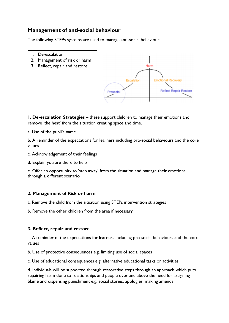#### **Management of anti-social behaviour**

The following STEPs systems are used to manage anti-social behaviour:

- 1. De-escalation
- 2. Management of risk or harm
- 3. Reflect, repair and restore



1. **De-escalation Strategies** – these support children to manage their emotions and remove 'the heat' from the situation creating space and time.

a. Use of the pupil's name

b. A reminder of the expectations for learners including pro-social behaviours and the core values

- c. Acknowledgement of their feelings
- d. Explain you are there to help

e. Offer an opportunity to 'step away' from the situation and manage their emotions through a different scenario

#### **2. Management of Risk or harm**

a. Remove the child from the situation using STEPs intervention strategies

b. Remove the other children from the area if necessary

#### **3. Reflect, repair and restore**

a. A reminder of the expectations for learners including pro-social behaviours and the core values

b. Use of protective consequences e.g. limiting use of social spaces

c. Use of educational consequences e.g. alternative educational tasks or activities

d. Individuals will be supported through restorative steps through an approach which puts repairing harm done to relationships and people over and above the need for assigning blame and dispensing punishment e.g. social stories, apologies, making amends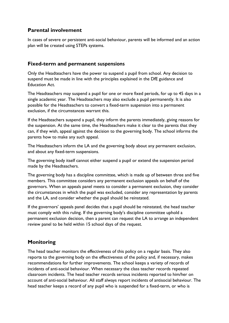#### **Parental involvement**

In cases of severe or persistent anti-social behaviour, parents will be informed and an action plan will be created using STEPs systems.

#### **Fixed-term and permanent suspensions**

Only the Headteachers have the power to suspend a pupil from school. Any decision to suspend must be made in line with the principles explained in the DfE guidance and Education Act.

The Headteachers may suspend a pupil for one or more fixed periods, for up to 45 days in a single academic year. The Headteachers may also exclude a pupil permanently. It is also possible for the Headteachers to convert a fixed-term suspension into a permanent exclusion, if the circumstances warrant this.

If the Headteachers suspend a pupil, they inform the parents immediately, giving reasons for the suspension. At the same time, the Headteachers make it clear to the parents that they can, if they wish, appeal against the decision to the governing body. The school informs the parents how to make any such appeal.

The Headteachers inform the LA and the governing body about any permanent exclusion, and about any fixed-term suspensions.

The governing body itself cannot either suspend a pupil or extend the suspension period made by the Headteachers.

The governing body has a discipline committee, which is made up of between three and five members. This committee considers any permanent exclusion appeals on behalf of the governors. When an appeals panel meets to consider a permanent exclusion, they consider the circumstances in which the pupil was excluded, consider any representation by parents and the LA, and consider whether the pupil should be reinstated.

If the governors' appeals panel decides that a pupil should be reinstated, the head teacher must comply with this ruling. If the governing body's discipline committee uphold a permanent exclusion decision, then a parent can request the LA to arrange an independent review panel to be held within 15 school days of the request.

## **Monitoring**

The head teacher monitors the effectiveness of this policy on a regular basis. They also reports to the governing body on the effectiveness of the policy and, if necessary, makes recommendations for further improvements. The school keeps a variety of records of incidents of anti-social behaviour. When necessary the class teacher records repeated classroom incidents. The head teacher records serious incidents reported to him/her on account of anti-social behaviour. All staff always report incidents of antisocial behaviour. The head teacher keeps a record of any pupil who is suspended for a fixed-term, or who is